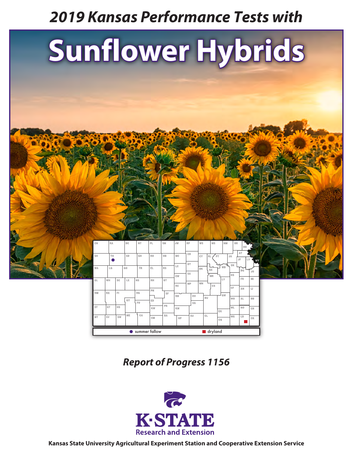# *2019 Kansas Performance Tests with*

# **Sunflower Hybrids**



*Report of Progress 1156*



**Kansas State University Agricultural Experiment Station and Cooperative Extension Service**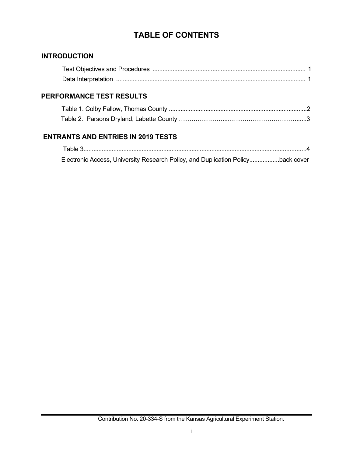# **TABLE OF CONTENTS**

### **INTRODUCTION**

## **PERFORMANCE TEST RESULTS**

# **ENTRANTS AND ENTRIES IN 2019 TESTS**

| Electronic Access, University Research Policy, and Duplication Policyback cover |  |
|---------------------------------------------------------------------------------|--|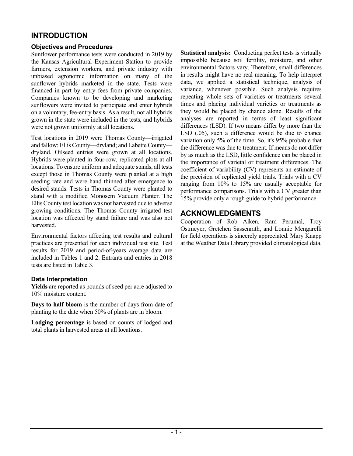# **INTRODUCTION**

#### **Objectives and Procedures**

Sunflower performance tests were conducted in 2019 by the Kansas Agricultural Experiment Station to provide farmers, extension workers, and private industry with unbiased agronomic information on many of the sunflower hybrids marketed in the state. Tests were financed in part by entry fees from private companies. Companies known to be developing and marketing sunflowers were invited to participate and enter hybrids on a voluntary, fee-entry basis. As a result, not all hybrids grown in the state were included in the tests, and hybrids were not grown uniformly at all locations.

Test locations in 2019 were Thomas County—irrigated and fallow; Ellis County—dryland; and Labette County dryland. Oilseed entries were grown at all locations. Hybrids were planted in four-row, replicated plots at all locations. To ensure uniform and adequate stands, all tests except those in Thomas County were planted at a high seeding rate and were hand thinned after emergence to desired stands. Tests in Thomas County were planted to stand with a modified Monosem Vacuum Planter. The Ellis County test location was not harvested due to adverse growing conditions. The Thomas County irrigated test location was affected by stand failure and was also not harvested.

Environmental factors affecting test results and cultural practices are presented for each individual test site. Test results for 2019 and period-of-years average data are included in Tables 1 and 2. Entrants and entries in 2018 tests are listed in Table 3.

#### **Data Interpretation**

**Yields** are reported as pounds of seed per acre adjusted to 10% moisture content.

**Days to half bloom** is the number of days from date of planting to the date when 50% of plants are in bloom.

**Lodging percentage** is based on counts of lodged and total plants in harvested areas at all locations.

**Statistical analysis:** Conducting perfect tests is virtually impossible because soil fertility, moisture, and other environmental factors vary. Therefore, small differences in results might have no real meaning. To help interpret data, we applied a statistical technique, analysis of variance, whenever possible. Such analysis requires repeating whole sets of varieties or treatments several times and placing individual varieties or treatments as they would be placed by chance alone. Results of the analyses are reported in terms of least significant differences (LSD). If two means differ by more than the LSD (.05), such a difference would be due to chance variation only 5% of the time. So, it's 95% probable that the difference was due to treatment. If means do not differ by as much as the LSD, little confidence can be placed in the importance of varietal or treatment differences. The coefficient of variability (CV) represents an estimate of the precision of replicated yield trials. Trials with a CV ranging from 10% to 15% are usually acceptable for performance comparisons. Trials with a CV greater than 15% provide only a rough guide to hybrid performance.

# **ACKNOWLEDGMENTS**

Cooperation of Rob Aiken, Ram Perumal, Troy Ostmeyer, Gretchen Sassenrath, and Lonnie Mengarelli for field operations is sincerely appreciated. Mary Knapp at the Weather Data Library provided climatological data.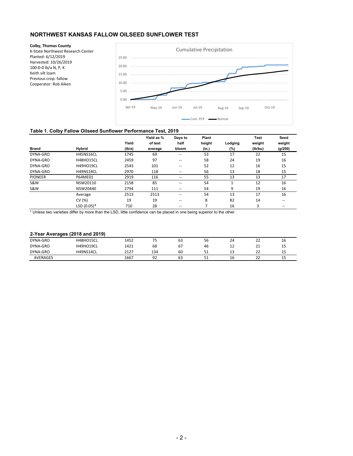#### **NORTHWEST KANSAS FALLOW OILSEED SUNFLOWER TEST**

**Colby, Thomas County** K-State Northwest Research Center Planted: 6/12/2019 Harvested: 10/26/2019 100-0-0 lb/a N, P, K Keith silt loam Previous crop: fallow Cooperator: Rob Aiken 0.00 5.00 10.00 15.00 20.00 25.00 Apr-19 May-19 Jun-19 Jul-19 Aug-19 Sep-19 Oct-19 Cumulative Precipitation Cum. PCP - Normal

#### **Table 1. Colby Fallow Oilseed Sunflower Performance Test, 2019**

|                |                  |        | Yield as % | Days to                  | Plant  |         | <b>Test</b> | Seed    |
|----------------|------------------|--------|------------|--------------------------|--------|---------|-------------|---------|
|                |                  | Yield  | of test    | half                     | height | Lodging | weight      | weight  |
| <b>Brand</b>   | <b>Hybrid</b>    | (Ib/a) | average    | bloom                    | (in.)  | (%)     | (lb/bu)     | (g/200) |
| DYNA-GRO       | <b>H45NS16CL</b> | 1745   | 69         | $\qquad \qquad \cdots$   | 53     | 17      | 22          | 15      |
| DYNA-GRO       | <b>H48HO15CL</b> | 2459   | 97         | $\overline{\phantom{m}}$ | 58     | 24      | 19          | 16      |
| DYNA-GRO       | <b>H49HO19CL</b> | 2543   | 101        | $\overline{\phantom{m}}$ | 52     | 12      | 16          | 15      |
| DYNA-GRO       | H49NS14CL        | 2970   | 118        | $- -$                    | 56     | 13      | 18          | 15      |
| <b>PIONEER</b> | P64ME01          | 2919   | 116        | $\overline{\phantom{a}}$ | 55     | 13      | 13          | 17      |
| <b>S&amp;W</b> | NSW20110         | 2158   | 85         | $\overline{\phantom{m}}$ | 54     |         | 12          | 16      |
| <b>S&amp;W</b> | NSW20440         | 2794   | 111        | $\overline{\phantom{m}}$ | 54     | 9       | 19          | 16      |
|                | Average          | 2513   | 2513       | $\overline{\phantom{m}}$ | 54     | 13      | 17          | 16      |
|                | CV (%)           | 19     | 19         | $\overline{\phantom{m}}$ | 8      | 82      | 14          | $- -$   |
|                | LSD $(0.05)*$    | 710    | 28         | $\overline{\phantom{m}}$ | ⇁      | 16      | 3           | $- -$   |

\* Unless two varieties differ by more than the LSD, little confidence can be placed in one being superior to the other.

#### **2-Year Averages (2018 and 2019)**

| ___<br>.        |                  |      |           |    |                    |                            |                     |         |
|-----------------|------------------|------|-----------|----|--------------------|----------------------------|---------------------|---------|
| DYNA-GRO        | <b>H48HO15CL</b> | 1452 | --<br>۔ ۔ | 63 | $\mathbf{r}$<br>56 | $\ddot{\phantom{1}}$<br>24 | $\sim$<br>__        | Τp      |
| DYNA-GRO        | H49HO19CL        | 1421 | 68        | 67 | 46                 | ᅩ                          | $\sim$<br>ᅀ         | <b></b> |
| DYNA-GRO        | H49NS14CL        | 2127 | 134       | 60 | 51                 | --                         | $\sim$<br>__        | ᅩ       |
| <b>AVERAGES</b> |                  | 1667 | ۹J        | 63 | ⊥ ب                | 16                         | $\sim$<br><u>__</u> | <b></b> |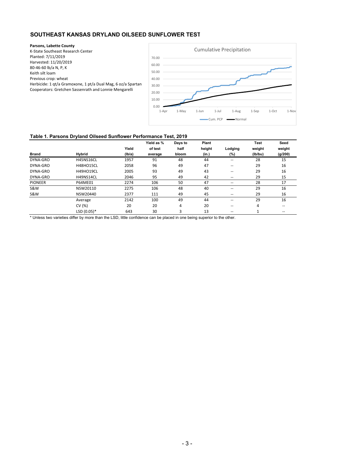#### **SOUTHEAST KANSAS DRYLAND OILSEED SUNFLOWER TEST**

**Parsons, Labette County** K-State Southeast Research Center Planted: 7/11/2019 Harvested: 11/20/2019 80-46-60 lb/a N, P, K Keith silt loam Previous crop: wheat Herbicide: 1 qt/a Gramoxone, 1 pt/a Dual Mag, 6 oz/a Spartan Cooperators: Gretchen Sassenrath and Lonnie Mengarelli



#### **Table 1. Parsons Dryland Oilseed Sunflower Performance Test, 2019**

|                |                  |        | Yield as % | Days to | Plant  |                          | <b>Test</b> | Seed    |
|----------------|------------------|--------|------------|---------|--------|--------------------------|-------------|---------|
|                |                  | Yield  | of test    | half    | height | Lodging                  | weight      | weight  |
| <b>Brand</b>   | <b>Hybrid</b>    | (Ib/a) | average    | bloom   | (in.)  | (%)                      | (lb/bu)     | (g/200) |
| DYNA-GRO       | <b>H45NS16CL</b> | 1957   | 91         | 48      | 44     | $- -$                    | 28          | 15      |
| DYNA-GRO       | <b>H48HO15CL</b> | 2058   | 96         | 49      | 47     | $- -$                    | 29          | 16      |
| DYNA-GRO       | H49HO19CL        | 2005   | 93         | 49      | 43     | $\overline{\phantom{m}}$ | 29          | 16      |
| DYNA-GRO       | H49NS14CL        | 2046   | 95         | 49      | 42     | $- -$                    | 29          | 15      |
| <b>PIONEER</b> | P64ME01          | 2274   | 106        | 50      | 47     | $- -$                    | 28          | 17      |
| <b>S&amp;W</b> | NSW20110         | 2275   | 106        | 48      | 40     | $- -$                    | 29          | 16      |
| <b>S&amp;W</b> | NSW20440         | 2377   | 111        | 49      | 45     | $- -$                    | 29          | 16      |
|                | Average          | 2142   | 100        | 49      | 44     | --                       | 29          | 16      |
|                | CV (%)           | 20     | 20         | 4       | 20     | $\overline{\phantom{m}}$ | 4           | $- -$   |
|                | LSD (0.05)*      | 643    | 30         | 3       | 13     | $- -$                    |             | $- -$   |

\* Unless two varieties differ by more than the LSD, little confidence can be placed in one being superior to the other.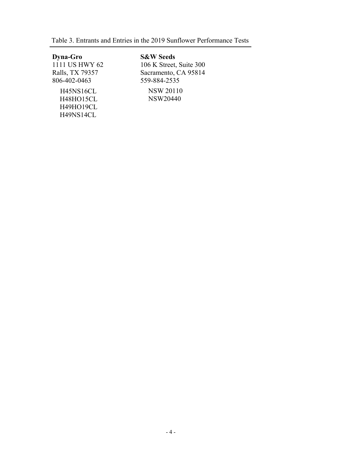|  |  |  |  |  |  | Table 3. Entrants and Entries in the 2019 Sunflower Performance Tests |  |
|--|--|--|--|--|--|-----------------------------------------------------------------------|--|
|--|--|--|--|--|--|-----------------------------------------------------------------------|--|

 H45NS16CL H48HO15CL H49HO19CL H49NS14CL **Dyna-Gro**  1111 US HWY 62 Ralls, TX 79357 806-402-0463

 NSW 20110 NSW20440 **S&W Seeds**  106 K Street, Suite 300 Sacramento, CA 95814 559-884-2535